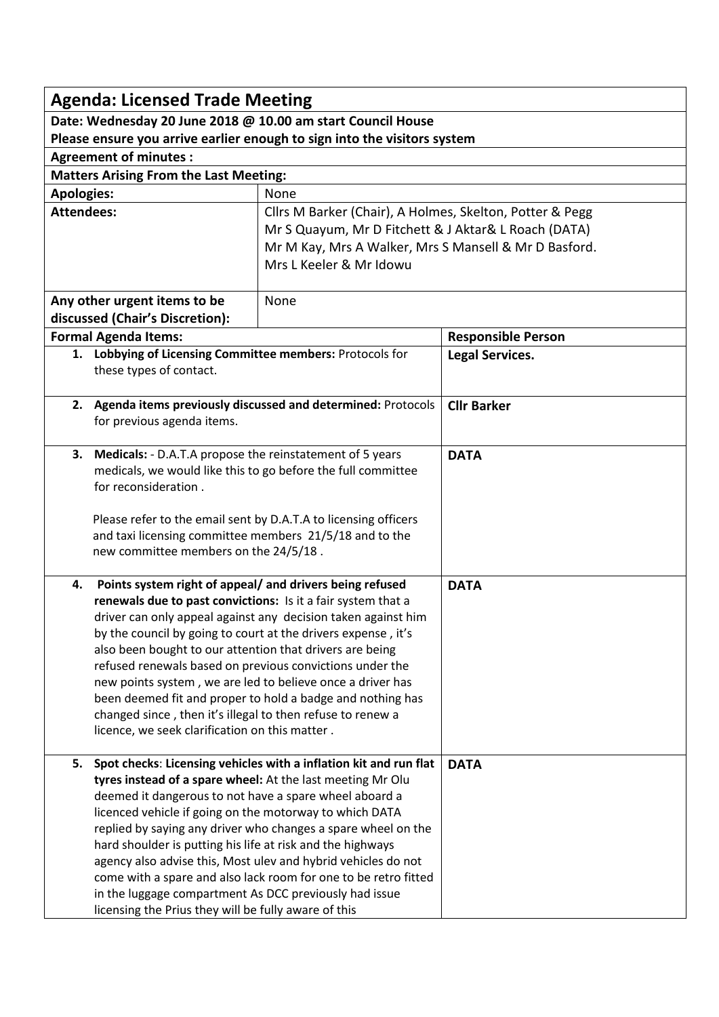| <b>Agenda: Licensed Trade Meeting</b>                                    |                                                                                                                               |                                                                   |                           |  |
|--------------------------------------------------------------------------|-------------------------------------------------------------------------------------------------------------------------------|-------------------------------------------------------------------|---------------------------|--|
| Date: Wednesday 20 June 2018 @ 10.00 am start Council House              |                                                                                                                               |                                                                   |                           |  |
| Please ensure you arrive earlier enough to sign into the visitors system |                                                                                                                               |                                                                   |                           |  |
| <b>Agreement of minutes:</b>                                             |                                                                                                                               |                                                                   |                           |  |
| <b>Matters Arising From the Last Meeting:</b>                            |                                                                                                                               |                                                                   |                           |  |
| <b>Apologies:</b><br>None                                                |                                                                                                                               |                                                                   |                           |  |
| <b>Attendees:</b>                                                        |                                                                                                                               | Cllrs M Barker (Chair), A Holmes, Skelton, Potter & Pegg          |                           |  |
|                                                                          |                                                                                                                               | Mr S Quayum, Mr D Fitchett & J Aktar& L Roach (DATA)              |                           |  |
|                                                                          |                                                                                                                               | Mr M Kay, Mrs A Walker, Mrs S Mansell & Mr D Basford.             |                           |  |
|                                                                          |                                                                                                                               | Mrs L Keeler & Mr Idowu                                           |                           |  |
|                                                                          |                                                                                                                               |                                                                   |                           |  |
| Any other urgent items to be                                             |                                                                                                                               | None                                                              |                           |  |
| discussed (Chair's Discretion):                                          |                                                                                                                               |                                                                   |                           |  |
| <b>Formal Agenda Items:</b>                                              |                                                                                                                               |                                                                   | <b>Responsible Person</b> |  |
|                                                                          | 1. Lobbying of Licensing Committee members: Protocols for                                                                     |                                                                   | <b>Legal Services.</b>    |  |
|                                                                          | these types of contact.                                                                                                       |                                                                   |                           |  |
|                                                                          |                                                                                                                               |                                                                   |                           |  |
|                                                                          |                                                                                                                               | 2. Agenda items previously discussed and determined: Protocols    | <b>Cllr Barker</b>        |  |
|                                                                          | for previous agenda items.                                                                                                    |                                                                   |                           |  |
|                                                                          |                                                                                                                               |                                                                   | <b>DATA</b>               |  |
|                                                                          | 3. Medicals: - D.A.T.A propose the reinstatement of 5 years<br>medicals, we would like this to go before the full committee   |                                                                   |                           |  |
|                                                                          | for reconsideration.                                                                                                          |                                                                   |                           |  |
|                                                                          |                                                                                                                               |                                                                   |                           |  |
|                                                                          | Please refer to the email sent by D.A.T.A to licensing officers                                                               |                                                                   |                           |  |
|                                                                          | and taxi licensing committee members 21/5/18 and to the                                                                       |                                                                   |                           |  |
|                                                                          | new committee members on the 24/5/18.                                                                                         |                                                                   |                           |  |
|                                                                          |                                                                                                                               |                                                                   |                           |  |
| 4.                                                                       | Points system right of appeal/ and drivers being refused                                                                      |                                                                   | <b>DATA</b>               |  |
|                                                                          | renewals due to past convictions: Is it a fair system that a<br>driver can only appeal against any decision taken against him |                                                                   |                           |  |
|                                                                          | by the council by going to court at the drivers expense, it's                                                                 |                                                                   |                           |  |
|                                                                          | also been bought to our attention that drivers are being                                                                      |                                                                   |                           |  |
|                                                                          | refused renewals based on previous convictions under the                                                                      |                                                                   |                           |  |
|                                                                          | new points system, we are led to believe once a driver has                                                                    |                                                                   |                           |  |
|                                                                          | been deemed fit and proper to hold a badge and nothing has                                                                    |                                                                   |                           |  |
|                                                                          | changed since, then it's illegal to then refuse to renew a                                                                    |                                                                   |                           |  |
|                                                                          | licence, we seek clarification on this matter.                                                                                |                                                                   |                           |  |
|                                                                          |                                                                                                                               |                                                                   |                           |  |
| 5.                                                                       | tyres instead of a spare wheel: At the last meeting Mr Olu                                                                    | Spot checks: Licensing vehicles with a inflation kit and run flat | <b>DATA</b>               |  |
|                                                                          | deemed it dangerous to not have a spare wheel aboard a                                                                        |                                                                   |                           |  |
|                                                                          | licenced vehicle if going on the motorway to which DATA                                                                       |                                                                   |                           |  |
|                                                                          |                                                                                                                               | replied by saying any driver who changes a spare wheel on the     |                           |  |
|                                                                          | hard shoulder is putting his life at risk and the highways                                                                    |                                                                   |                           |  |
|                                                                          |                                                                                                                               | agency also advise this, Most ulev and hybrid vehicles do not     |                           |  |
|                                                                          |                                                                                                                               | come with a spare and also lack room for one to be retro fitted   |                           |  |
|                                                                          | in the luggage compartment As DCC previously had issue                                                                        |                                                                   |                           |  |
|                                                                          | licensing the Prius they will be fully aware of this                                                                          |                                                                   |                           |  |